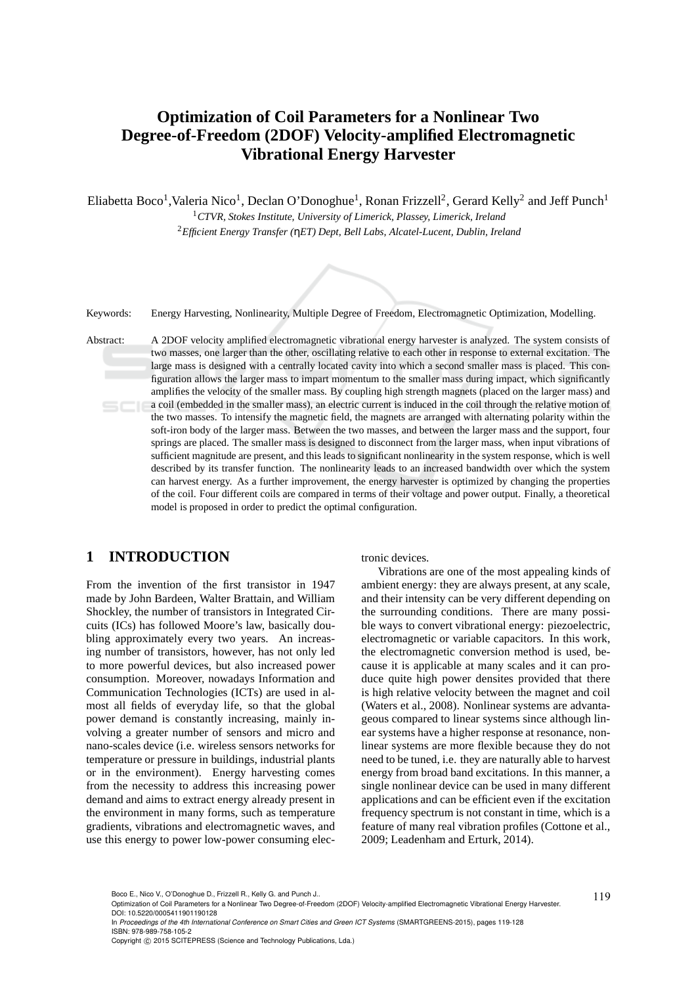# **Optimization of Coil Parameters for a Nonlinear Two Degree-of-Freedom (2DOF) Velocity-amplified Electromagnetic Vibrational Energy Harvester**

Eliabetta Boco<sup>1</sup>, Valeria Nico<sup>1</sup>, Declan O'Donoghue<sup>1</sup>, Ronan Frizzell<sup>2</sup>, Gerard Kelly<sup>2</sup> and Jeff Punch<sup>1</sup>

<sup>1</sup>*CTVR, Stokes Institute, University of Limerick, Plassey, Limerick, Ireland* <sup>2</sup>*Efficient Energy Transfer (*η*ET) Dept, Bell Labs, Alcatel-Lucent, Dublin, Ireland*



Keywords: Energy Harvesting, Nonlinearity, Multiple Degree of Freedom, Electromagnetic Optimization, Modelling.

Abstract: A 2DOF velocity amplified electromagnetic vibrational energy harvester is analyzed. The system consists of two masses, one larger than the other, oscillating relative to each other in response to external excitation. The large mass is designed with a centrally located cavity into which a second smaller mass is placed. This configuration allows the larger mass to impart momentum to the smaller mass during impact, which significantly amplifies the velocity of the smaller mass. By coupling high strength magnets (placed on the larger mass) and a coil (embedded in the smaller mass), an electric current is induced in the coil through the relative motion of the two masses. To intensify the magnetic field, the magnets are arranged with alternating polarity within the soft-iron body of the larger mass. Between the two masses, and between the larger mass and the support, four springs are placed. The smaller mass is designed to disconnect from the larger mass, when input vibrations of sufficient magnitude are present, and this leads to significant nonlinearity in the system response, which is well described by its transfer function. The nonlinearity leads to an increased bandwidth over which the system can harvest energy. As a further improvement, the energy harvester is optimized by changing the properties of the coil. Four different coils are compared in terms of their voltage and power output. Finally, a theoretical model is proposed in order to predict the optimal configuration.

# **1 INTRODUCTION**

From the invention of the first transistor in 1947 made by John Bardeen, Walter Brattain, and William Shockley, the number of transistors in Integrated Circuits (ICs) has followed Moore's law, basically doubling approximately every two years. An increasing number of transistors, however, has not only led to more powerful devices, but also increased power consumption. Moreover, nowadays Information and Communication Technologies (ICTs) are used in almost all fields of everyday life, so that the global power demand is constantly increasing, mainly involving a greater number of sensors and micro and nano-scales device (i.e. wireless sensors networks for temperature or pressure in buildings, industrial plants or in the environment). Energy harvesting comes from the necessity to address this increasing power demand and aims to extract energy already present in the environment in many forms, such as temperature gradients, vibrations and electromagnetic waves, and use this energy to power low-power consuming electronic devices.

Vibrations are one of the most appealing kinds of ambient energy: they are always present, at any scale, and their intensity can be very different depending on the surrounding conditions. There are many possible ways to convert vibrational energy: piezoelectric, electromagnetic or variable capacitors. In this work, the electromagnetic conversion method is used, because it is applicable at many scales and it can produce quite high power densites provided that there is high relative velocity between the magnet and coil (Waters et al., 2008). Nonlinear systems are advantageous compared to linear systems since although linear systems have a higher response at resonance, nonlinear systems are more flexible because they do not need to be tuned, i.e. they are naturally able to harvest energy from broad band excitations. In this manner, a single nonlinear device can be used in many different applications and can be efficient even if the excitation frequency spectrum is not constant in time, which is a feature of many real vibration profiles (Cottone et al., 2009; Leadenham and Erturk, 2014).

In *Proceedings of the 4th International Conference on Smart Cities and Green ICT Systems* (SMARTGREENS-2015), pages 119-128 ISBN: 978-989-758-105-2

Boco E., Nico V., O'Donoghue D., Frizzell R., Kelly G. and Punch J..<br>Optimization of Coil Parameters for a Nonlinear Two Degree-of-Freedom (2DOF) Velocity-amplified Electromagnetic Vibrational Energy Harvester. DOI: 10.5220/0005411901190128

Copyright © 2015 SCITEPRESS (Science and Technology Publications, Lda.)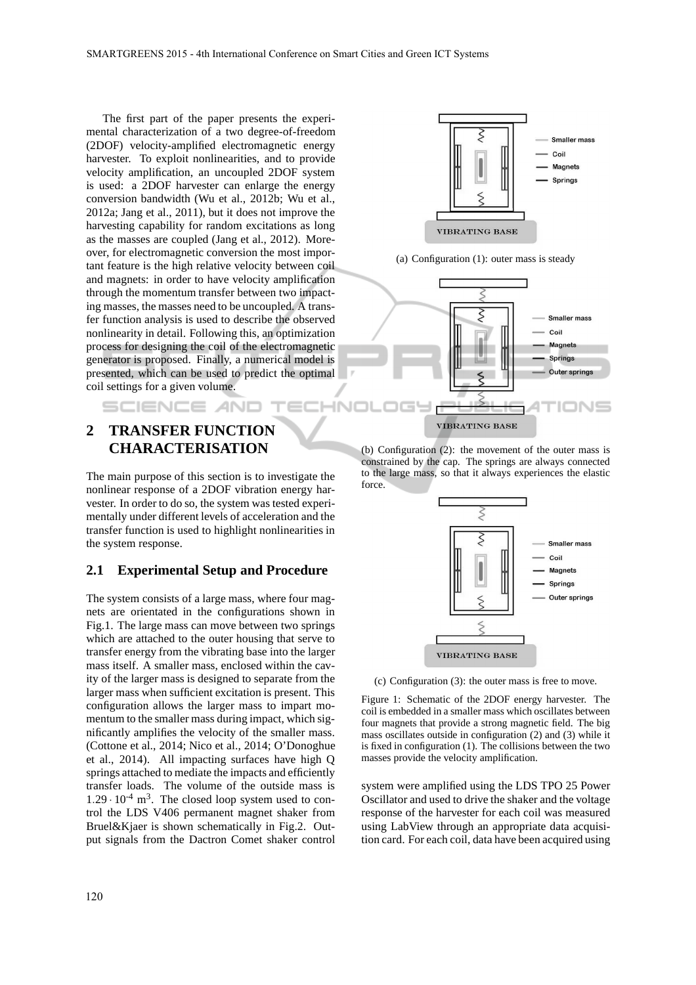The first part of the paper presents the experimental characterization of a two degree-of-freedom (2DOF) velocity-amplified electromagnetic energy harvester. To exploit nonlinearities, and to provide velocity amplification, an uncoupled 2DOF system is used: a 2DOF harvester can enlarge the energy conversion bandwidth (Wu et al., 2012b; Wu et al., 2012a; Jang et al., 2011), but it does not improve the harvesting capability for random excitations as long as the masses are coupled (Jang et al., 2012). Moreover, for electromagnetic conversion the most important feature is the high relative velocity between coil and magnets: in order to have velocity amplification through the momentum transfer between two impacting masses, the masses need to be uncoupled. A transfer function analysis is used to describe the observed nonlinearity in detail. Following this, an optimization process for designing the coil of the electromagnetic generator is proposed. Finally, a numerical model is presented, which can be used to predict the optimal coil settings for a given volume.

# **2 TRANSFER FUNCTION CHARACTERISATION**

SCIENCE AND

The main purpose of this section is to investigate the nonlinear response of a 2DOF vibration energy harvester. In order to do so, the system was tested experimentally under different levels of acceleration and the transfer function is used to highlight nonlinearities in the system response.

#### **2.1 Experimental Setup and Procedure**

The system consists of a large mass, where four magnets are orientated in the configurations shown in Fig.1. The large mass can move between two springs which are attached to the outer housing that serve to transfer energy from the vibrating base into the larger mass itself. A smaller mass, enclosed within the cavity of the larger mass is designed to separate from the larger mass when sufficient excitation is present. This configuration allows the larger mass to impart momentum to the smaller mass during impact, which significantly amplifies the velocity of the smaller mass. (Cottone et al., 2014; Nico et al., 2014; O'Donoghue et al., 2014). All impacting surfaces have high Q springs attached to mediate the impacts and efficiently transfer loads. The volume of the outside mass is  $1.29 \cdot 10^{-4}$  m<sup>3</sup>. The closed loop system used to control the LDS V406 permanent magnet shaker from Bruel&Kjaer is shown schematically in Fig.2. Output signals from the Dactron Comet shaker control



(a) Configuration (1): outer mass is steady



(b) Configuration (2): the movement of the outer mass is constrained by the cap. The springs are always connected to the large mass, so that it always experiences the elastic force.



(c) Configuration (3): the outer mass is free to move.

Figure 1: Schematic of the 2DOF energy harvester. The coil is embedded in a smaller mass which oscillates between four magnets that provide a strong magnetic field. The big mass oscillates outside in configuration (2) and (3) while it is fixed in configuration (1). The collisions between the two masses provide the velocity amplification.

system were amplified using the LDS TPO 25 Power Oscillator and used to drive the shaker and the voltage response of the harvester for each coil was measured using LabView through an appropriate data acquisition card. For each coil, data have been acquired using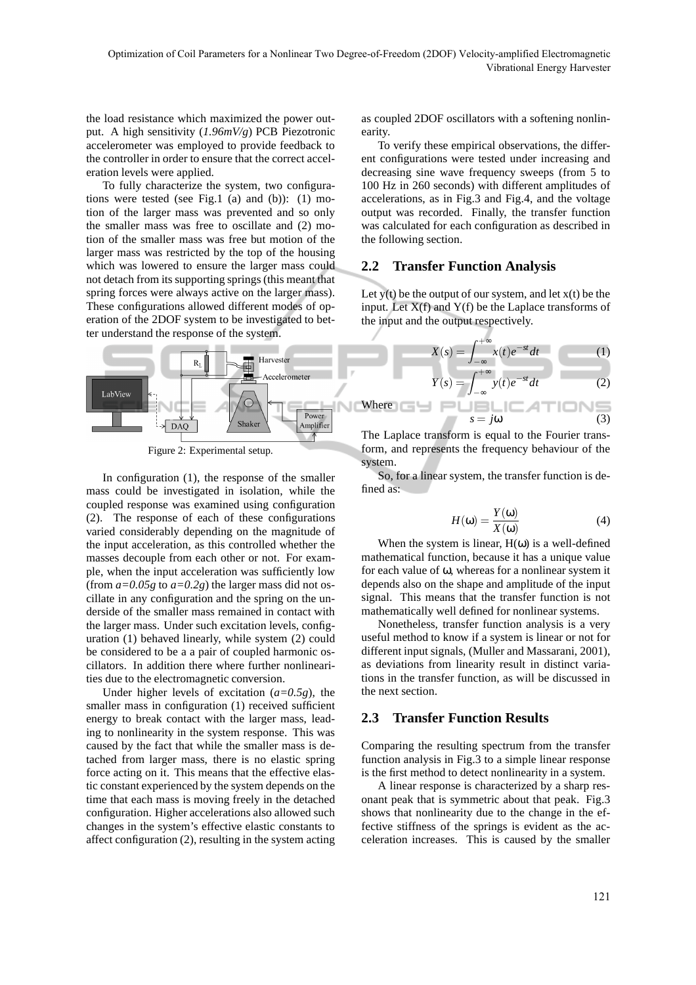the load resistance which maximized the power output. A high sensitivity (*1.96mV/g*) PCB Piezotronic accelerometer was employed to provide feedback to the controller in order to ensure that the correct acceleration levels were applied.

To fully characterize the system, two configurations were tested (see Fig.1 (a) and (b)): (1) motion of the larger mass was prevented and so only the smaller mass was free to oscillate and (2) motion of the smaller mass was free but motion of the larger mass was restricted by the top of the housing which was lowered to ensure the larger mass could not detach from its supporting springs (this meant that spring forces were always active on the larger mass). These configurations allowed different modes of operation of the 2DOF system to be investigated to better understand the response of the system.



Figure 2: Experimental setup.

In configuration (1), the response of the smaller mass could be investigated in isolation, while the coupled response was examined using configuration (2). The response of each of these configurations varied considerably depending on the magnitude of the input acceleration, as this controlled whether the masses decouple from each other or not. For example, when the input acceleration was sufficiently low (from  $a=0.05g$  to  $a=0.2g$ ) the larger mass did not oscillate in any configuration and the spring on the underside of the smaller mass remained in contact with the larger mass. Under such excitation levels, configuration (1) behaved linearly, while system (2) could be considered to be a a pair of coupled harmonic oscillators. In addition there where further nonlinearities due to the electromagnetic conversion.

Under higher levels of excitation (*a=0.5g*), the smaller mass in configuration (1) received sufficient energy to break contact with the larger mass, leading to nonlinearity in the system response. This was caused by the fact that while the smaller mass is detached from larger mass, there is no elastic spring force acting on it. This means that the effective elastic constant experienced by the system depends on the time that each mass is moving freely in the detached configuration. Higher accelerations also allowed such changes in the system's effective elastic constants to affect configuration (2), resulting in the system acting as coupled 2DOF oscillators with a softening nonlinearity.

To verify these empirical observations, the different configurations were tested under increasing and decreasing sine wave frequency sweeps (from 5 to 100 Hz in 260 seconds) with different amplitudes of accelerations, as in Fig.3 and Fig.4, and the voltage output was recorded. Finally, the transfer function was calculated for each configuration as described in the following section.

#### **2.2 Transfer Function Analysis**

Where **No. 1** 

Let  $y(t)$  be the output of our system, and let  $x(t)$  be the input. Let  $X(f)$  and  $Y(f)$  be the Laplace transforms of the input and the output respectively.

$$
X(s) = \int_{-\infty}^{+\infty} x(t)e^{-st}dt
$$
\n
$$
Y(s) = \int_{-\infty}^{+\infty} y(t)e^{-st}dt
$$
\n(1)

$$
s = j\omega
$$
 (3)

The Laplace transform is equal to the Fourier transform, and represents the frequency behaviour of the system.

So, for a linear system, the transfer function is defined as:

$$
H(\omega) = \frac{Y(\omega)}{X(\omega)}\tag{4}
$$

When the system is linear,  $H(\omega)$  is a well-defined mathematical function, because it has a unique value for each value of ω, whereas for a nonlinear system it depends also on the shape and amplitude of the input signal. This means that the transfer function is not mathematically well defined for nonlinear systems.

Nonetheless, transfer function analysis is a very useful method to know if a system is linear or not for different input signals, (Muller and Massarani, 2001), as deviations from linearity result in distinct variations in the transfer function, as will be discussed in the next section.

#### **2.3 Transfer Function Results**

Comparing the resulting spectrum from the transfer function analysis in Fig.3 to a simple linear response is the first method to detect nonlinearity in a system.

A linear response is characterized by a sharp resonant peak that is symmetric about that peak. Fig.3 shows that nonlinearity due to the change in the effective stiffness of the springs is evident as the acceleration increases. This is caused by the smaller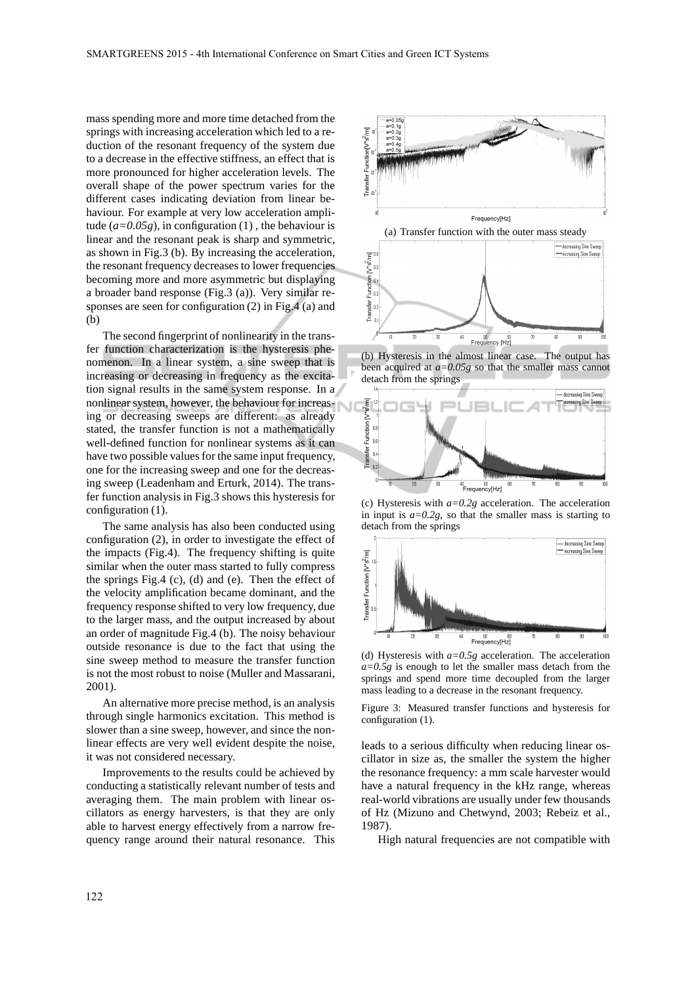mass spending more and more time detached from the springs with increasing acceleration which led to a reduction of the resonant frequency of the system due to a decrease in the effective stiffness, an effect that is more pronounced for higher acceleration levels. The overall shape of the power spectrum varies for the different cases indicating deviation from linear behaviour. For example at very low acceleration amplitude  $(a=0.05g)$ , in configuration (1), the behaviour is linear and the resonant peak is sharp and symmetric, as shown in Fig.3 (b). By increasing the acceleration, the resonant frequency decreases to lower frequencies becoming more and more asymmetric but displaying a broader band response (Fig.3 (a)). Very similar responses are seen for configuration (2) in Fig.4 (a) and (b)

The second fingerprint of nonlinearity in the transfer function characterization is the hysteresis phenomenon. In a linear system, a sine sweep that is increasing or decreasing in frequency as the excitation signal results in the same system response. In a nonlinear system, however, the behaviour for increasing or decreasing sweeps are different: as already stated, the transfer function is not a mathematically well-defined function for nonlinear systems as it can have two possible values for the same input frequency, one for the increasing sweep and one for the decreasing sweep (Leadenham and Erturk, 2014). The transfer function analysis in Fig.3 shows this hysteresis for configuration (1).

The same analysis has also been conducted using configuration (2), in order to investigate the effect of the impacts (Fig.4). The frequency shifting is quite similar when the outer mass started to fully compress the springs Fig.4 (c), (d) and (e). Then the effect of the velocity amplification became dominant, and the frequency response shifted to very low frequency, due to the larger mass, and the output increased by about an order of magnitude Fig.4 (b). The noisy behaviour outside resonance is due to the fact that using the sine sweep method to measure the transfer function is not the most robust to noise (Muller and Massarani, 2001).

An alternative more precise method, is an analysis through single harmonics excitation. This method is slower than a sine sweep, however, and since the nonlinear effects are very well evident despite the noise, it was not considered necessary.

Improvements to the results could be achieved by conducting a statistically relevant number of tests and averaging them. The main problem with linear oscillators as energy harvesters, is that they are only able to harvest energy effectively from a narrow frequency range around their natural resonance. This



(b) Hysteresis in the almost linear case. The output has been acquired at *a=0.05g* so that the smaller mass cannot detach from the springs



(c) Hysteresis with *a=0.2g* acceleration. The acceleration in input is  $a=0.2g$ , so that the smaller mass is starting to detach from the springs



(d) Hysteresis with *a=0.5g* acceleration. The acceleration *a=0.5g* is enough to let the smaller mass detach from the springs and spend more time decoupled from the larger mass leading to a decrease in the resonant frequency.

Figure 3: Measured transfer functions and hysteresis for configuration (1).

leads to a serious difficulty when reducing linear oscillator in size as, the smaller the system the higher the resonance frequency: a mm scale harvester would have a natural frequency in the kHz range, whereas real-world vibrations are usually under few thousands of Hz (Mizuno and Chetwynd, 2003; Rebeiz et al., 1987).

High natural frequencies are not compatible with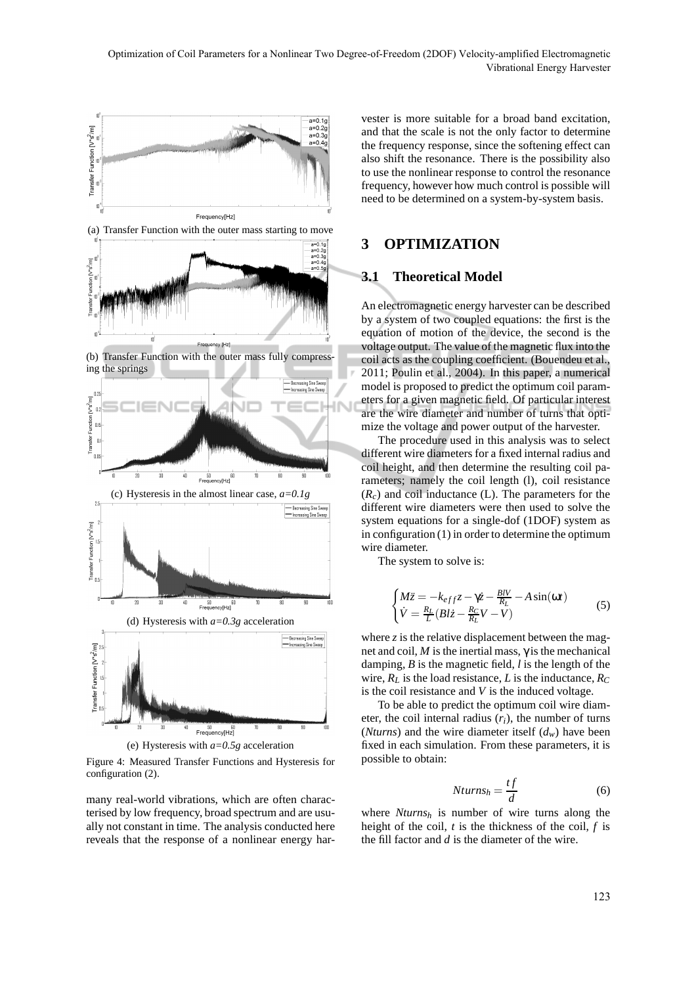

Figure 4: Measured Transfer Functions and Hysteresis for configuration (2).

many real-world vibrations, which are often characterised by low frequency, broad spectrum and are usually not constant in time. The analysis conducted here reveals that the response of a nonlinear energy har-

vester is more suitable for a broad band excitation, and that the scale is not the only factor to determine the frequency response, since the softening effect can also shift the resonance. There is the possibility also to use the nonlinear response to control the resonance frequency, however how much control is possible will need to be determined on a system-by-system basis.

### **3 OPTIMIZATION**

### **3.1 Theoretical Model**

An electromagnetic energy harvester can be described by a system of two coupled equations: the first is the equation of motion of the device, the second is the voltage output. The value of the magnetic flux into the coil acts as the coupling coefficient. (Bouendeu et al., 2011; Poulin et al., 2004). In this paper, a numerical model is proposed to predict the optimum coil parameters for a given magnetic field. Of particular interest are the wire diameter and number of turns that optimize the voltage and power output of the harvester.

The procedure used in this analysis was to select different wire diameters for a fixed internal radius and coil height, and then determine the resulting coil parameters; namely the coil length (l), coil resistance  $(R<sub>c</sub>)$  and coil inductance (L). The parameters for the different wire diameters were then used to solve the system equations for a single-dof (1DOF) system as in configuration (1) in order to determine the optimum wire diameter.

The system to solve is:

$$
\begin{cases} M\ddot{z} = -k_{eff}z - \gamma \dot{z} - \frac{BV}{R_L} - A\sin(\omega t) \\ \dot{V} = \frac{R_L}{L} (Bl\dot{z} - \frac{R_C}{R_L}V - V) \end{cases}
$$
(5)

where  $\zeta$  is the relative displacement between the magnet and coil,  $M$  is the inertial mass,  $\gamma$  is the mechanical damping, *B* is the magnetic field, *l* is the length of the wire, *R<sup>L</sup>* is the load resistance, *L* is the inductance, *R<sup>C</sup>* is the coil resistance and *V* is the induced voltage.

To be able to predict the optimum coil wire diameter, the coil internal radius  $(r_i)$ , the number of turns (*Nturns*) and the wire diameter itself (*dw*) have been fixed in each simulation. From these parameters, it is possible to obtain:

$$
Nturns_h = \frac{tf}{d} \tag{6}
$$

where *Nturns<sup>h</sup>* is number of wire turns along the height of the coil, *t* is the thickness of the coil, *f* is the fill factor and *d* is the diameter of the wire.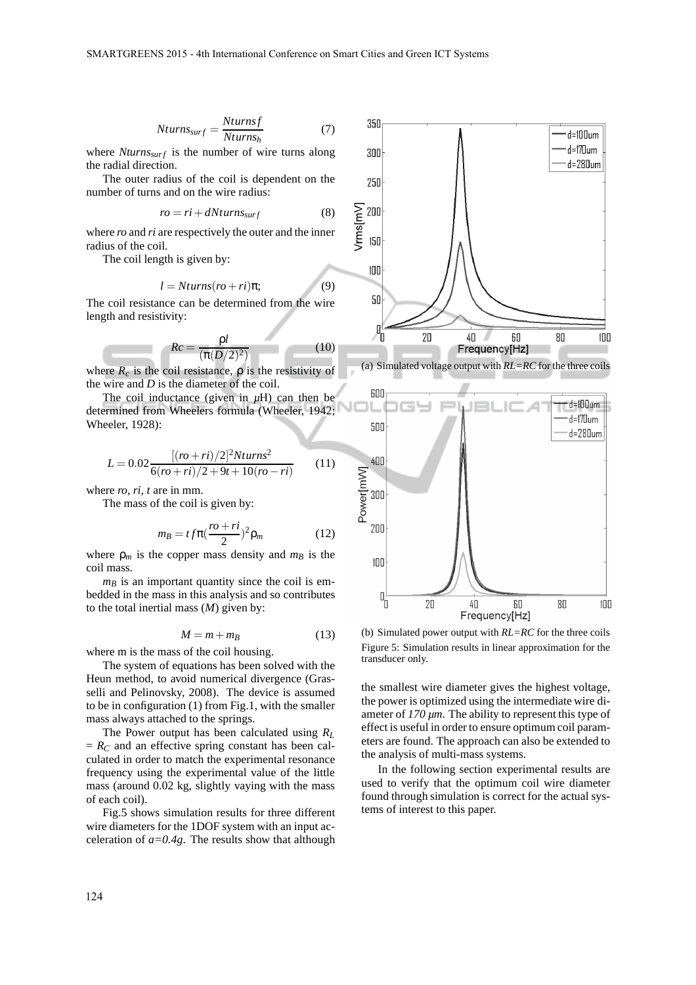$$
Nturns_{surf} = \frac{Nturnsf}{Nturns_h}
$$
 (7)

where *Nturns*<sub>*surf*</sub> is the number of wire turns along the radial direction.

The outer radius of the coil is dependent on the number of turns and on the wire radius:

$$
ro = ri + dN turns_{surf} \tag{8}
$$

where *ro* and *ri* are respectively the outer and the inner radius of the coil.

The coil length is given by:

$$
l = Nturns(ro + ri)\pi;
$$
 (9)

The coil resistance can be determined from the wire length and resistivity:

$$
Rc = \frac{\rho l}{(\pi (D/2)^2)}\tag{10}
$$

where  $R_c$  is the coil resistance,  $\rho$  is the resistivity of the wire and *D* is the diameter of the coil.

The coil inductance (given in  $\mu$ H) can then be determined from Wheelers formula (Wheeler, 1942; Wheeler, 1928):

$$
L = 0.02 \frac{[(ro+ri)/2]^2 N turns^2}{6 (ro+ri)/2 + 9t + 10 (ro-ri)} \tag{11}
$$

where *ro, ri, t* are in mm.

The mass of the coil is given by:

$$
m_B = t f \pi \left(\frac{ro + ri}{2}\right)^2 \rho_m \tag{12}
$$

where  $\rho_m$  is the copper mass density and  $m_B$  is the coil mass.

 $m<sub>B</sub>$  is an important quantity since the coil is embedded in the mass in this analysis and so contributes to the total inertial mass (*M*) given by:

$$
M = m + m_B \tag{13}
$$

where m is the mass of the coil housing.

The system of equations has been solved with the Heun method, to avoid numerical divergence (Grasselli and Pelinovsky, 2008). The device is assumed to be in configuration (1) from Fig.1, with the smaller mass always attached to the springs.

The Power output has been calculated using *R<sup>L</sup>*  $= R_C$  and an effective spring constant has been calculated in order to match the experimental resonance frequency using the experimental value of the little mass (around 0.02 kg, slightly vaying with the mass of each coil).

Fig.5 shows simulation results for three different wire diameters for the 1DOF system with an input acceleration of  $a=0.4g$ . The results show that although





(b) Simulated power output with *RL=RC* for the three coils Figure 5: Simulation results in linear approximation for the transducer only.

the smallest wire diameter gives the highest voltage, the power is optimized using the intermediate wire diameter of *170 µm*. The ability to represent this type of effect is useful in order to ensure optimum coil parameters are found. The approach can also be extended to the analysis of multi-mass systems.

In the following section experimental results are used to verify that the optimum coil wire diameter found through simulation is correct for the actual systems of interest to this paper.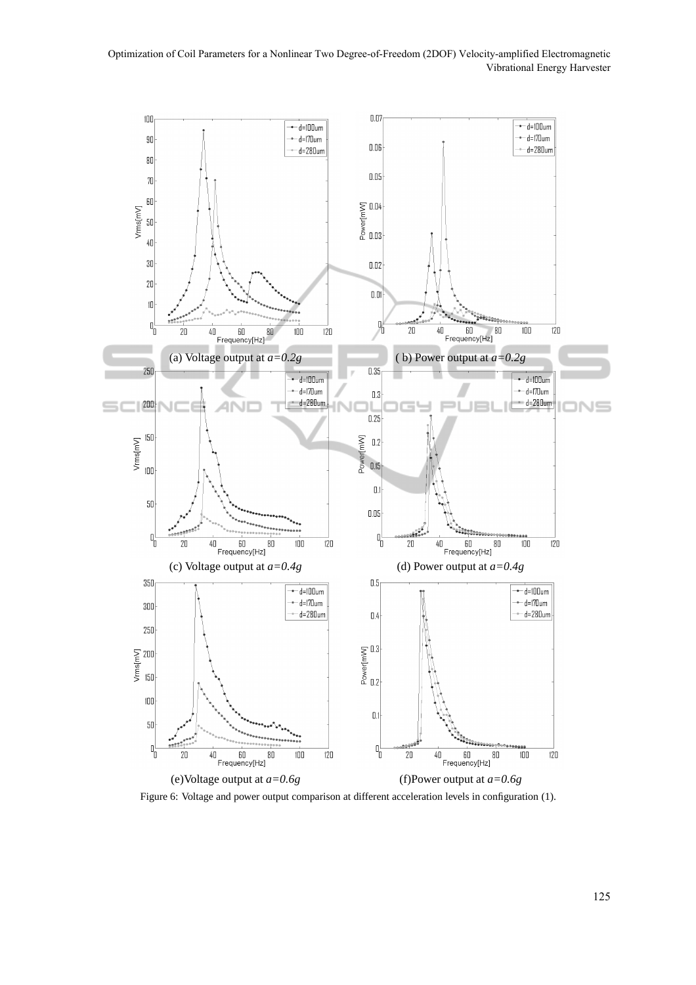

Figure 6: Voltage and power output comparison at different acceleration levels in configuration (1).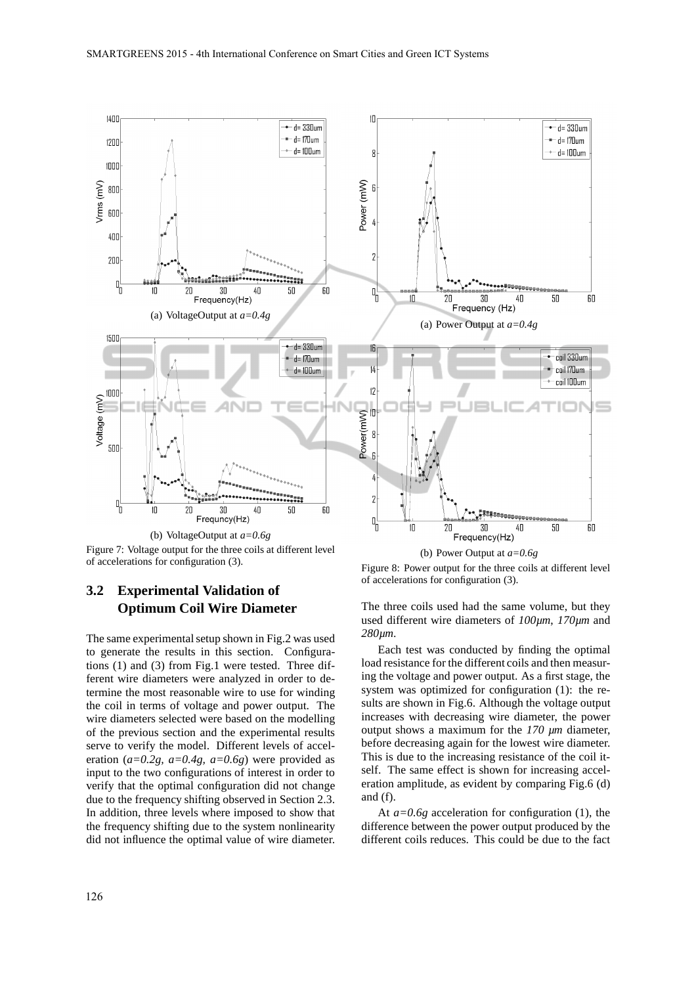

Figure 7: Voltage output for the three coils at different level of accelerations for configuration (3).

## **3.2 Experimental Validation of Optimum Coil Wire Diameter**

The same experimental setup shown in Fig.2 was used to generate the results in this section. Configurations (1) and (3) from Fig.1 were tested. Three different wire diameters were analyzed in order to determine the most reasonable wire to use for winding the coil in terms of voltage and power output. The wire diameters selected were based on the modelling of the previous section and the experimental results serve to verify the model. Different levels of acceleration (*a=0.2g, a=0.4g, a=0.6g*) were provided as input to the two configurations of interest in order to verify that the optimal configuration did not change due to the frequency shifting observed in Section 2.3. In addition, three levels where imposed to show that the frequency shifting due to the system nonlinearity did not influence the optimal value of wire diameter.

(b) Power Output at *a=0.6g*

Figure 8: Power output for the three coils at different level of accelerations for configuration (3).

The three coils used had the same volume, but they used different wire diameters of *100µm*, *170µm* and *280µm*.

Each test was conducted by finding the optimal load resistance for the different coils and then measuring the voltage and power output. As a first stage, the system was optimized for configuration (1): the results are shown in Fig.6. Although the voltage output increases with decreasing wire diameter, the power output shows a maximum for the *170 µm* diameter, before decreasing again for the lowest wire diameter. This is due to the increasing resistance of the coil itself. The same effect is shown for increasing acceleration amplitude, as evident by comparing Fig.6 (d) and (f).

At *a=0.6g* acceleration for configuration (1), the difference between the power output produced by the different coils reduces. This could be due to the fact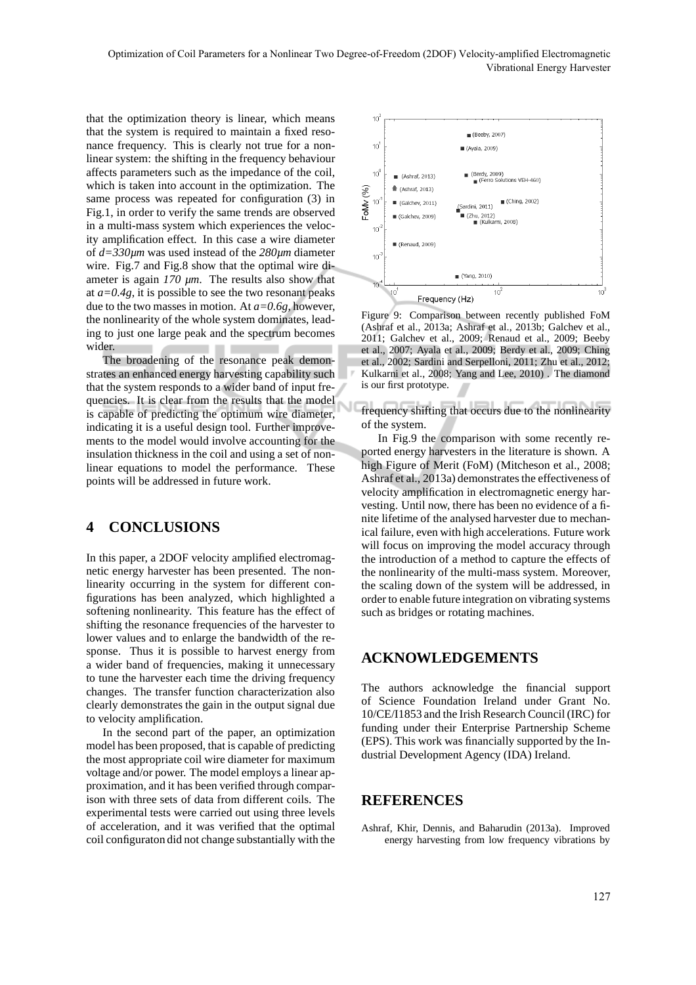that the optimization theory is linear, which means that the system is required to maintain a fixed resonance frequency. This is clearly not true for a nonlinear system: the shifting in the frequency behaviour affects parameters such as the impedance of the coil, which is taken into account in the optimization. The same process was repeated for configuration (3) in Fig.1, in order to verify the same trends are observed in a multi-mass system which experiences the velocity amplification effect. In this case a wire diameter of *d=330µm* was used instead of the *280µm* diameter wire. Fig.7 and Fig.8 show that the optimal wire diameter is again *170 µm*. The results also show that at *a=0.4g*, it is possible to see the two resonant peaks due to the two masses in motion. At *a=0.6g*, however, the nonlinearity of the whole system dominates, leading to just one large peak and the spectrum becomes wider.

The broadening of the resonance peak demonstrates an enhanced energy harvesting capability such that the system responds to a wider band of input frequencies. It is clear from the results that the model is capable of predicting the optimum wire diameter, indicating it is a useful design tool. Further improvements to the model would involve accounting for the insulation thickness in the coil and using a set of nonlinear equations to model the performance. These points will be addressed in future work.

## **4 CONCLUSIONS**

In this paper, a 2DOF velocity amplified electromagnetic energy harvester has been presented. The nonlinearity occurring in the system for different configurations has been analyzed, which highlighted a softening nonlinearity. This feature has the effect of shifting the resonance frequencies of the harvester to lower values and to enlarge the bandwidth of the response. Thus it is possible to harvest energy from a wider band of frequencies, making it unnecessary to tune the harvester each time the driving frequency changes. The transfer function characterization also clearly demonstrates the gain in the output signal due to velocity amplification.

In the second part of the paper, an optimization model has been proposed, that is capable of predicting the most appropriate coil wire diameter for maximum voltage and/or power. The model employs a linear approximation, and it has been verified through comparison with three sets of data from different coils. The experimental tests were carried out using three levels of acceleration, and it was verified that the optimal coil configuraton did not change substantially with the



Figure 9: Comparison between recently published FoM (Ashraf et al., 2013a; Ashraf et al., 2013b; Galchev et al., 2011; Galchev et al., 2009; Renaud et al., 2009; Beeby et al., 2007; Ayala et al., 2009; Berdy et al., 2009; Ching et al., 2002; Sardini and Serpelloni, 2011; Zhu et al., 2012; Kulkarni et al., 2008; Yang and Lee, 2010) . The diamond is our first prototype.

frequency shifting that occurs due to the nonlinearity of the system.

In Fig.9 the comparison with some recently reported energy harvesters in the literature is shown. A high Figure of Merit (FoM) (Mitcheson et al., 2008; Ashraf et al., 2013a) demonstrates the effectiveness of velocity amplification in electromagnetic energy harvesting. Until now, there has been no evidence of a finite lifetime of the analysed harvester due to mechanical failure, even with high accelerations. Future work will focus on improving the model accuracy through the introduction of a method to capture the effects of the nonlinearity of the multi-mass system. Moreover, the scaling down of the system will be addressed, in order to enable future integration on vibrating systems such as bridges or rotating machines.

## **ACKNOWLEDGEMENTS**

The authors acknowledge the financial support of Science Foundation Ireland under Grant No. 10/CE/I1853 and the Irish Research Council (IRC) for funding under their Enterprise Partnership Scheme (EPS). This work was financially supported by the Industrial Development Agency (IDA) Ireland.

#### **REFERENCES**

Ashraf, Khir, Dennis, and Baharudin (2013a). Improved energy harvesting from low frequency vibrations by